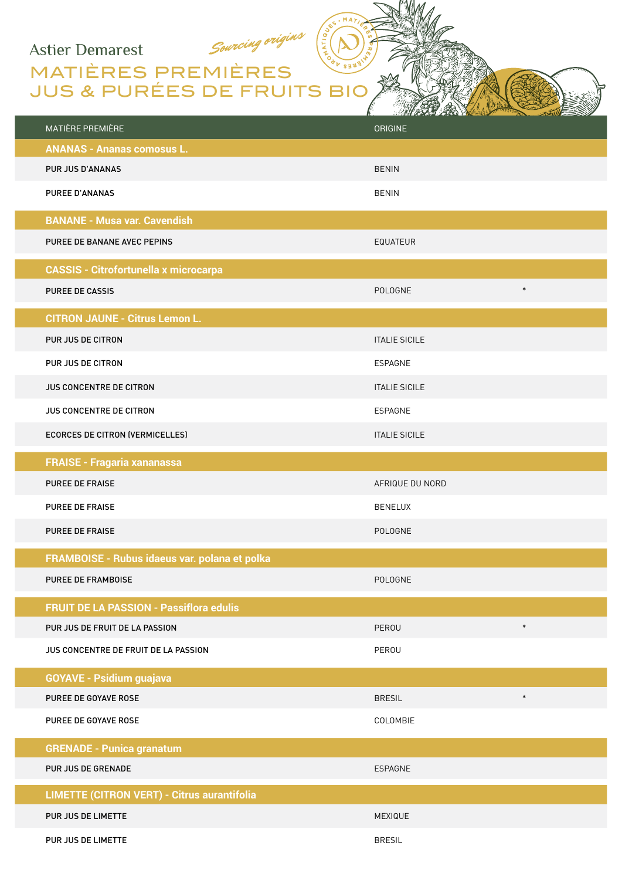## **Astier Demarest**

MATIÈRES PREMIÈRES JUS & PURÉES DE FRUITS BIO

Sourcing origins

| MATIÈRE PREMIÈRE                                   | ORIGINE                 |
|----------------------------------------------------|-------------------------|
| <b>ANANAS - Ananas comosus L.</b>                  |                         |
| PUR JUS D'ANANAS                                   | <b>BENIN</b>            |
| <b>PUREE D'ANANAS</b>                              | <b>BENIN</b>            |
| <b>BANANE - Musa var. Cavendish</b>                |                         |
| PUREE DE BANANE AVEC PEPINS                        | <b>EQUATEUR</b>         |
| <b>CASSIS - Citrofortunella x microcarpa</b>       |                         |
| <b>PUREE DE CASSIS</b>                             | $\ast$<br>POLOGNE       |
| <b>CITRON JAUNE - Citrus Lemon L.</b>              |                         |
| PUR JUS DE CITRON                                  | <b>ITALIE SICILE</b>    |
| PUR JUS DE CITRON                                  | ESPAGNE                 |
| <b>JUS CONCENTRE DE CITRON</b>                     | <b>ITALIE SICILE</b>    |
| <b>JUS CONCENTRE DE CITRON</b>                     | <b>ESPAGNE</b>          |
| <b>ECORCES DE CITRON (VERMICELLES)</b>             | <b>ITALIE SICILE</b>    |
| <b>FRAISE - Fragaria xananassa</b>                 |                         |
| PUREE DE FRAISE                                    | AFRIQUE DU NORD         |
| <b>PUREE DE FRAISE</b>                             | <b>BENELUX</b>          |
| <b>PUREE DE FRAISE</b>                             | <b>POLOGNE</b>          |
| FRAMBOISE - Rubus idaeus var. polana et polka      |                         |
| <b>PUREE DE FRAMBOISE</b>                          | <b>POLOGNE</b>          |
| <b>FRUIT DE LA PASSION - Passiflora edulis</b>     |                         |
| PUR JUS DE FRUIT DE LA PASSION                     | $\ast$<br>PEROU         |
| JUS CONCENTRE DE FRUIT DE LA PASSION               | PEROU                   |
| <b>GOYAVE - Psidium guajava</b>                    |                         |
| PUREE DE GOYAVE ROSE                               | $\ast$<br><b>BRESIL</b> |
| PUREE DE GOYAVE ROSE                               | COLOMBIE                |
| <b>GRENADE - Punica granatum</b>                   |                         |
| PUR JUS DE GRENADE                                 | ESPAGNE                 |
| <b>LIMETTE (CITRON VERT) - Citrus aurantifolia</b> |                         |
| PUR JUS DE LIMETTE                                 | MEXIQUE                 |
| PUR JUS DE LIMETTE                                 | <b>BRESIL</b>           |

. MA